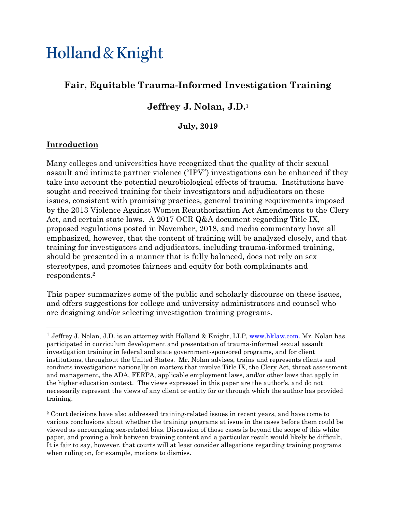# Holland & Knight

## **Fair, Equitable Trauma-Informed Investigation Training**

## **Jeffrey J. Nolan, J.D.1**

#### **July, 2019**

## **Introduction**

<u>.</u>

Many colleges and universities have recognized that the quality of their sexual assault and intimate partner violence ("IPV") investigations can be enhanced if they take into account the potential neurobiological effects of trauma. Institutions have sought and received training for their investigators and adjudicators on these issues, consistent with promising practices, general training requirements imposed by the 2013 Violence Against Women Reauthorization Act Amendments to the Clery Act, and certain state laws. A 2017 OCR Q&A document regarding Title IX, proposed regulations posted in November, 2018, and media commentary have all emphasized, however, that the content of training will be analyzed closely, and that training for investigators and adjudicators, including trauma-informed training, should be presented in a manner that is fully balanced, does not rely on sex stereotypes, and promotes fairness and equity for both complainants and respondents.2

This paper summarizes some of the public and scholarly discourse on these issues, and offers suggestions for college and university administrators and counsel who are designing and/or selecting investigation training programs.

<sup>&</sup>lt;sup>1</sup> Jeffrey J. Nolan, J.D. is an attorney with Holland & Knight, LLP, www.hklaw.com. Mr. Nolan has participated in curriculum development and presentation of trauma-informed sexual assault investigation training in federal and state government-sponsored programs, and for client institutions, throughout the United States. Mr. Nolan advises, trains and represents clients and conducts investigations nationally on matters that involve Title IX, the Clery Act, threat assessment and management, the ADA, FERPA, applicable employment laws, and/or other laws that apply in the higher education context. The views expressed in this paper are the author's, and do not necessarily represent the views of any client or entity for or through which the author has provided training.

<sup>2</sup> Court decisions have also addressed training-related issues in recent years, and have come to various conclusions about whether the training programs at issue in the cases before them could be viewed as encouraging sex-related bias. Discussion of those cases is beyond the scope of this white paper, and proving a link between training content and a particular result would likely be difficult. It is fair to say, however, that courts will at least consider allegations regarding training programs when ruling on, for example, motions to dismiss.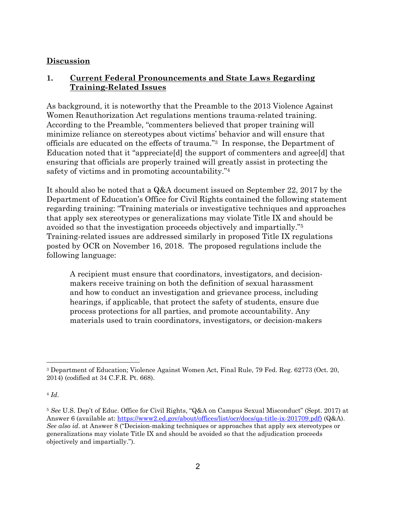#### **Discussion**

## **1. Current Federal Pronouncements and State Laws Regarding Training-Related Issues**

As background, it is noteworthy that the Preamble to the 2013 Violence Against Women Reauthorization Act regulations mentions trauma-related training. According to the Preamble, "commenters believed that proper training will minimize reliance on stereotypes about victims' behavior and will ensure that officials are educated on the effects of trauma."3 In response, the Department of Education noted that it "appreciate[d] the support of commenters and agree[d] that ensuring that officials are properly trained will greatly assist in protecting the safety of victims and in promoting accountability."4

It should also be noted that a Q&A document issued on September 22, 2017 by the Department of Education's Office for Civil Rights contained the following statement regarding training: "Training materials or investigative techniques and approaches that apply sex stereotypes or generalizations may violate Title IX and should be avoided so that the investigation proceeds objectively and impartially."5 Training-related issues are addressed similarly in proposed Title IX regulations posted by OCR on November 16, 2018. The proposed regulations include the following language:

A recipient must ensure that coordinators, investigators, and decisionmakers receive training on both the definition of sexual harassment and how to conduct an investigation and grievance process, including hearings, if applicable, that protect the safety of students, ensure due process protections for all parties, and promote accountability. Any materials used to train coordinators, investigators, or decision-makers

1

<sup>3</sup> Department of Education; Violence Against Women Act, Final Rule, 79 Fed. Reg. 62773 (Oct. 20, 2014) (codified at 34 C.F.R. Pt. 668).

<sup>4</sup> *Id*.

<sup>5</sup> *See* U.S. Dep't of Educ. Office for Civil Rights, "Q&A on Campus Sexual Misconduct" (Sept. 2017) at Answer 6 (available at: https://www2.ed.gov/about/offices/list/ocr/docs/qa-title-ix-201709.pdf) (Q&A). *See also id*. at Answer 8 ("Decision-making techniques or approaches that apply sex stereotypes or generalizations may violate Title IX and should be avoided so that the adjudication proceeds objectively and impartially.").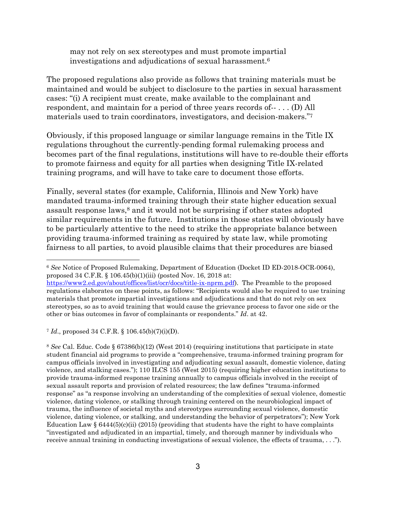may not rely on sex stereotypes and must promote impartial investigations and adjudications of sexual harassment.6

The proposed regulations also provide as follows that training materials must be maintained and would be subject to disclosure to the parties in sexual harassment cases: "(i) A recipient must create, make available to the complainant and respondent, and maintain for a period of three years records of-- . . . (D) All materials used to train coordinators, investigators, and decision-makers."7

Obviously, if this proposed language or similar language remains in the Title IX regulations throughout the currently-pending formal rulemaking process and becomes part of the final regulations, institutions will have to re-double their efforts to promote fairness and equity for all parties when designing Title IX-related training programs, and will have to take care to document those efforts.

Finally, several states (for example, California, Illinois and New York) have mandated trauma-informed training through their state higher education sexual assault response laws,<sup>8</sup> and it would not be surprising if other states adopted similar requirements in the future. Institutions in those states will obviously have to be particularly attentive to the need to strike the appropriate balance between providing trauma-informed training as required by state law, while promoting fairness to all parties, to avoid plausible claims that their procedures are biased

<sup>7</sup> *Id*., proposed 34 C.F.R. § 106.45(b)(7)(i)(D).

 $\overline{a}$ 

<sup>8</sup> *See* Cal. Educ. Code § 67386(b)(12) (West 2014) (requiring institutions that participate in state student financial aid programs to provide a "comprehensive, trauma-informed training program for campus officials involved in investigating and adjudicating sexual assault, domestic violence, dating violence, and stalking cases."); 110 ILCS 155 (West 2015) (requiring higher education institutions to provide trauma-informed response training annually to campus officials involved in the receipt of sexual assault reports and provision of related resources; the law defines "trauma-informed response" as "a response involving an understanding of the complexities of sexual violence, domestic violence, dating violence, or stalking through training centered on the neurobiological impact of trauma, the influence of societal myths and stereotypes surrounding sexual violence, domestic violence, dating violence, or stalking, and understanding the behavior of perpetrators"); New York Education Law §  $6444(5)(c)(ii)$  (2015) (providing that students have the right to have complaints "investigated and adjudicated in an impartial, timely, and thorough manner by individuals who receive annual training in conducting investigations of sexual violence, the effects of trauma, . . .").

<sup>6</sup> *See* Notice of Proposed Rulemaking, Department of Education (Docket ID ED-2018-OCR-0064), proposed 34 C.F.R. § 106.45(b)(1)(iii) (posted Nov. 16, 2018 at:

https://www2.ed.gov/about/offices/list/ocr/docs/title-ix-nprm.pdf). The Preamble to the proposed regulations elaborates on these points, as follows: "Recipients would also be required to use training materials that promote impartial investigations and adjudications and that do not rely on sex stereotypes, so as to avoid training that would cause the grievance process to favor one side or the other or bias outcomes in favor of complainants or respondents." *Id*. at 42.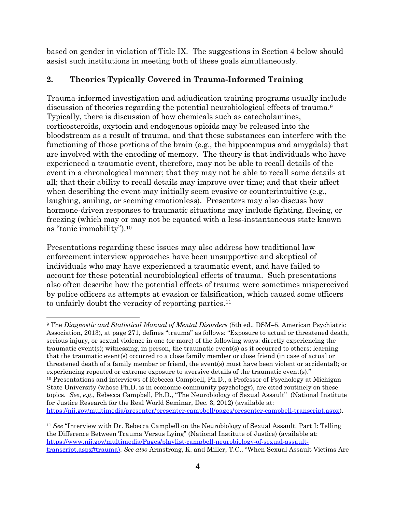based on gender in violation of Title IX. The suggestions in Section 4 below should assist such institutions in meeting both of these goals simultaneously.

#### **2. Theories Typically Covered in Trauma-Informed Training**

Trauma-informed investigation and adjudication training programs usually include discussion of theories regarding the potential neurobiological effects of trauma.9 Typically, there is discussion of how chemicals such as catecholamines, corticosteroids, oxytocin and endogenous opioids may be released into the bloodstream as a result of trauma, and that these substances can interfere with the functioning of those portions of the brain (e.g., the hippocampus and amygdala) that are involved with the encoding of memory. The theory is that individuals who have experienced a traumatic event, therefore, may not be able to recall details of the event in a chronological manner; that they may not be able to recall some details at all; that their ability to recall details may improve over time; and that their affect when describing the event may initially seem evasive or counterintuitive (e.g., laughing, smiling, or seeming emotionless). Presenters may also discuss how hormone-driven responses to traumatic situations may include fighting, fleeing, or freezing (which may or may not be equated with a less-instantaneous state known as "tonic immobility").10

Presentations regarding these issues may also address how traditional law enforcement interview approaches have been unsupportive and skeptical of individuals who may have experienced a traumatic event, and have failed to account for these potential neurobiological effects of trauma. Such presentations also often describe how the potential effects of trauma were sometimes misperceived by police officers as attempts at evasion or falsification, which caused some officers to unfairly doubt the veracity of reporting parties.11

 $\overline{a}$ 

<sup>9</sup> The *Diagnostic and Statistical Manual of Mental Disorders* (5th ed., DSM–5, American Psychiatric Association, 2013), at page 271, defines "trauma" as follows: "Exposure to actual or threatened death, serious injury, or sexual violence in one (or more) of the following ways: directly experiencing the traumatic event(s); witnessing, in person, the traumatic event(s) as it occurred to others; learning that the traumatic event(s) occurred to a close family member or close friend (in case of actual or threatened death of a family member or friend, the event(s) must have been violent or accidental); or experiencing repeated or extreme exposure to aversive details of the traumatic event(s)." 10 Presentations and interviews of Rebecca Campbell, Ph.D., a Professor of Psychology at Michigan State University (whose Ph.D. is in economic-community psychology), are cited routinely on these topics. *See*, *e.g*., Rebecca Campbell, Ph.D., "The Neurobiology of Sexual Assault" (National Institute for Justice Research for the Real World Seminar, Dec. 3, 2012) (available at: https://nij.gov/multimedia/presenter/presenter-campbell/pages/presenter-campbell-transcript.aspx).

<sup>11</sup> *See* "Interview with Dr. Rebecca Campbell on the Neurobiology of Sexual Assault, Part I: Telling the Difference Between Trauma Versus Lying" (National Institute of Justice) (available at: https://www.nij.gov/multimedia/Pages/playlist-campbell-neurobiology-of-sexual-assaulttranscript.aspx#trauma). *See also* Armstrong, K. and Miller, T.C., "When Sexual Assault Victims Are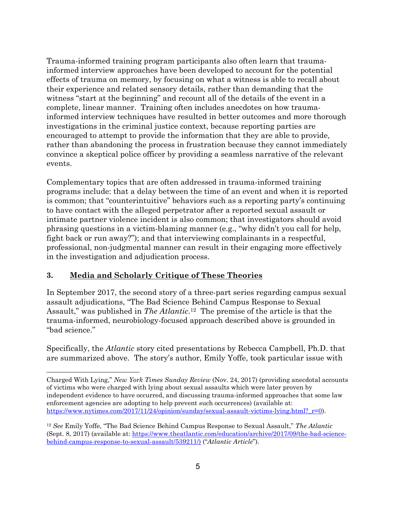Trauma-informed training program participants also often learn that traumainformed interview approaches have been developed to account for the potential effects of trauma on memory, by focusing on what a witness is able to recall about their experience and related sensory details, rather than demanding that the witness "start at the beginning" and recount all of the details of the event in a complete, linear manner. Training often includes anecdotes on how traumainformed interview techniques have resulted in better outcomes and more thorough investigations in the criminal justice context, because reporting parties are encouraged to attempt to provide the information that they are able to provide, rather than abandoning the process in frustration because they cannot immediately convince a skeptical police officer by providing a seamless narrative of the relevant events.

Complementary topics that are often addressed in trauma-informed training programs include: that a delay between the time of an event and when it is reported is common; that "counterintuitive" behaviors such as a reporting party's continuing to have contact with the alleged perpetrator after a reported sexual assault or intimate partner violence incident is also common; that investigators should avoid phrasing questions in a victim-blaming manner (e.g., "why didn't you call for help, fight back or run away?"); and that interviewing complainants in a respectful, professional, non-judgmental manner can result in their engaging more effectively in the investigation and adjudication process.

## **3. Media and Scholarly Critique of These Theories**

1

In September 2017, the second story of a three-part series regarding campus sexual assault adjudications, "The Bad Science Behind Campus Response to Sexual Assault," was published in *The Atlantic*.12 The premise of the article is that the trauma-informed, neurobiology-focused approach described above is grounded in "bad science."

Specifically, the *Atlantic* story cited presentations by Rebecca Campbell, Ph.D. that are summarized above. The story's author, Emily Yoffe, took particular issue with

Charged With Lying," *New York Times Sunday Review* (Nov. 24, 2017) (providing anecdotal accounts of victims who were charged with lying about sexual assaults which were later proven by independent evidence to have occurred, and discussing trauma-informed approaches that some law enforcement agencies are adopting to help prevent such occurrences) (available at: https://www.nytimes.com/2017/11/24/opinion/sunday/sexual-assault-victims-lying.html? r=0).

<sup>12</sup> *See* Emily Yoffe, "The Bad Science Behind Campus Response to Sexual Assault," *The Atlantic* (Sept. 8, 2017) (available at: https://www.theatlantic.com/education/archive/2017/09/the-bad-sciencebehind-campus-response-to-sexual-assault/539211/) ("*Atlantic Article*").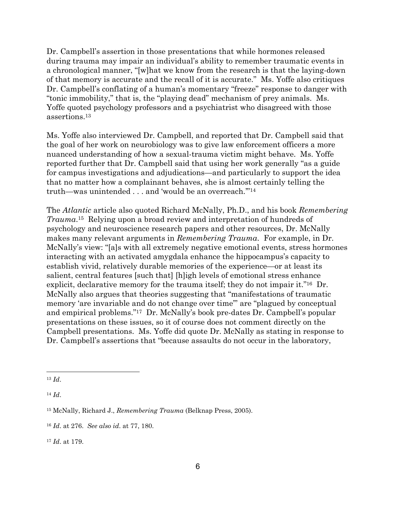Dr. Campbell's assertion in those presentations that while hormones released during trauma may impair an individual's ability to remember traumatic events in a chronological manner, "[w]hat we know from the research is that the laying-down of that memory is accurate and the recall of it is accurate." Ms. Yoffe also critiques Dr. Campbell's conflating of a human's momentary "freeze" response to danger with "tonic immobility," that is, the "playing dead" mechanism of prey animals. Ms. Yoffe quoted psychology professors and a psychiatrist who disagreed with those assertions.13

Ms. Yoffe also interviewed Dr. Campbell, and reported that Dr. Campbell said that the goal of her work on neurobiology was to give law enforcement officers a more nuanced understanding of how a sexual-trauma victim might behave. Ms. Yoffe reported further that Dr. Campbell said that using her work generally "as a guide for campus investigations and adjudications—and particularly to support the idea that no matter how a complainant behaves, she is almost certainly telling the truth—was unintended . . . and 'would be an overreach.'"14

The *Atlantic* article also quoted Richard McNally, Ph.D., and his book *Remembering Trauma*.15 Relying upon a broad review and interpretation of hundreds of psychology and neuroscience research papers and other resources, Dr. McNally makes many relevant arguments in *Remembering Trauma*. For example, in Dr. McNally's view: "[a]s with all extremely negative emotional events, stress hormones interacting with an activated amygdala enhance the hippocampus's capacity to establish vivid, relatively durable memories of the experience—or at least its salient, central features [such that] [h]igh levels of emotional stress enhance explicit, declarative memory for the trauma itself; they do not impair it."16 Dr. McNally also argues that theories suggesting that "manifestations of traumatic memory 'are invariable and do not change over time'" are "plagued by conceptual and empirical problems."17 Dr. McNally's book pre-dates Dr. Campbell's popular presentations on these issues, so it of course does not comment directly on the Campbell presentations. Ms. Yoffe did quote Dr. McNally as stating in response to Dr. Campbell's assertions that "because assaults do not occur in the laboratory,

<u>.</u>

<sup>14</sup> *Id*.

<sup>13</sup> *Id*.

<sup>15</sup> McNally, Richard J., *Remembering Trauma* (Belknap Press, 2005).

<sup>16</sup> *Id*. at 276. *See also id*. at 77, 180.

<sup>17</sup> *Id*. at 179.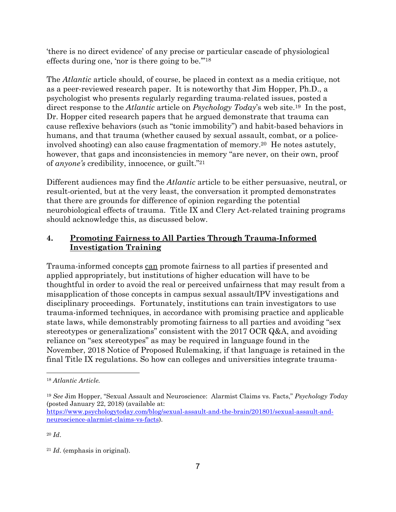'there is no direct evidence' of any precise or particular cascade of physiological effects during one, 'nor is there going to be.'"18

The *Atlantic* article should, of course, be placed in context as a media critique, not as a peer-reviewed research paper. It is noteworthy that Jim Hopper, Ph.D., a psychologist who presents regularly regarding trauma-related issues, posted a direct response to the *Atlantic* article on *Psychology Today*'s web site.19 In the post, Dr. Hopper cited research papers that he argued demonstrate that trauma can cause reflexive behaviors (such as "tonic immobility") and habit-based behaviors in humans, and that trauma (whether caused by sexual assault, combat, or a policeinvolved shooting) can also cause fragmentation of memory.20 He notes astutely, however, that gaps and inconsistencies in memory "are never, on their own, proof of *anyone's* credibility, innocence, or guilt."21

Different audiences may find the *Atlantic* article to be either persuasive, neutral, or result-oriented, but at the very least, the conversation it prompted demonstrates that there are grounds for difference of opinion regarding the potential neurobiological effects of trauma. Title IX and Clery Act-related training programs should acknowledge this, as discussed below.

## **4. Promoting Fairness to All Parties Through Trauma-Informed Investigation Training**

Trauma-informed concepts can promote fairness to all parties if presented and applied appropriately, but institutions of higher education will have to be thoughtful in order to avoid the real or perceived unfairness that may result from a misapplication of those concepts in campus sexual assault/IPV investigations and disciplinary proceedings.Fortunately, institutions can train investigators to use trauma-informed techniques, in accordance with promising practice and applicable state laws, while demonstrably promoting fairness to all parties and avoiding "sex stereotypes or generalizations" consistent with the 2017 OCR Q&A, and avoiding reliance on "sex stereotypes" as may be required in language found in the November, 2018 Notice of Proposed Rulemaking, if that language is retained in the final Title IX regulations. So how can colleges and universities integrate trauma-

<sup>20</sup> *Id*.

 $\overline{a}$ 

<sup>18</sup> *Atlantic Article.* 

<sup>19</sup> *See* Jim Hopper, "Sexual Assault and Neuroscience: Alarmist Claims vs. Facts," *Psychology Today*  (posted January 22, 2018) (available at:

https://www.psychologytoday.com/blog/sexual-assault-and-the-brain/201801/sexual-assault-andneuroscience-alarmist-claims-vs-facts).

<sup>21</sup> *Id*. (emphasis in original).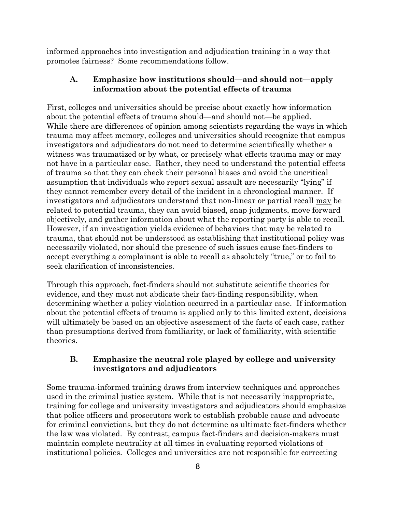informed approaches into investigation and adjudication training in a way that promotes fairness? Some recommendations follow.

## **A. Emphasize how institutions should—and should not—apply information about the potential effects of trauma**

First, colleges and universities should be precise about exactly how information about the potential effects of trauma should—and should not—be applied. While there are differences of opinion among scientists regarding the ways in which trauma may affect memory, colleges and universities should recognize that campus investigators and adjudicators do not need to determine scientifically whether a witness was traumatized or by what, or precisely what effects trauma may or may not have in a particular case. Rather, they need to understand the potential effects of trauma so that they can check their personal biases and avoid the uncritical assumption that individuals who report sexual assault are necessarily "lying" if they cannot remember every detail of the incident in a chronological manner. If investigators and adjudicators understand that non-linear or partial recall may be related to potential trauma, they can avoid biased, snap judgments, move forward objectively, and gather information about what the reporting party is able to recall. However, if an investigation yields evidence of behaviors that may be related to trauma, that should not be understood as establishing that institutional policy was necessarily violated, nor should the presence of such issues cause fact-finders to accept everything a complainant is able to recall as absolutely "true," or to fail to seek clarification of inconsistencies.

Through this approach, fact-finders should not substitute scientific theories for evidence, and they must not abdicate their fact-finding responsibility, when determining whether a policy violation occurred in a particular case. If information about the potential effects of trauma is applied only to this limited extent, decisions will ultimately be based on an objective assessment of the facts of each case, rather than presumptions derived from familiarity, or lack of familiarity, with scientific theories.

## **B. Emphasize the neutral role played by college and university investigators and adjudicators**

Some trauma-informed training draws from interview techniques and approaches used in the criminal justice system. While that is not necessarily inappropriate, training for college and university investigators and adjudicators should emphasize that police officers and prosecutors work to establish probable cause and advocate for criminal convictions, but they do not determine as ultimate fact-finders whether the law was violated. By contrast, campus fact-finders and decision-makers must maintain complete neutrality at all times in evaluating reported violations of institutional policies. Colleges and universities are not responsible for correcting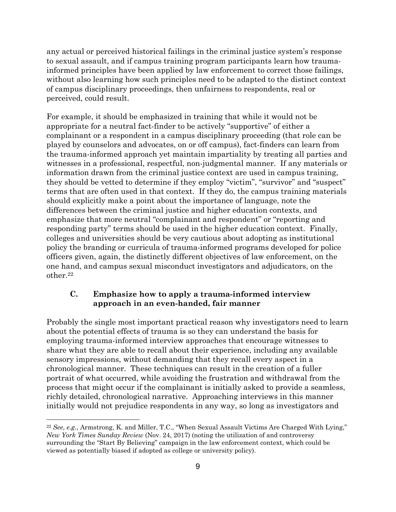any actual or perceived historical failings in the criminal justice system's response to sexual assault, and if campus training program participants learn how traumainformed principles have been applied by law enforcement to correct those failings, without also learning how such principles need to be adapted to the distinct context of campus disciplinary proceedings, then unfairness to respondents, real or perceived, could result.

For example, it should be emphasized in training that while it would not be appropriate for a neutral fact-finder to be actively "supportive" of either a complainant or a respondent in a campus disciplinary proceeding (that role can be played by counselors and advocates, on or off campus), fact-finders can learn from the trauma-informed approach yet maintain impartiality by treating all parties and witnesses in a professional, respectful, non-judgmental manner. If any materials or information drawn from the criminal justice context are used in campus training, they should be vetted to determine if they employ "victim", "survivor" and "suspect" terms that are often used in that context. If they do, the campus training materials should explicitly make a point about the importance of language, note the differences between the criminal justice and higher education contexts, and emphasize that more neutral "complainant and respondent" or "reporting and responding party" terms should be used in the higher education context. Finally, colleges and universities should be very cautious about adopting as institutional policy the branding or curricula of trauma-informed programs developed for police officers given, again, the distinctly different objectives of law enforcement, on the one hand, and campus sexual misconduct investigators and adjudicators, on the other.22

#### **C. Emphasize how to apply a trauma-informed interview approach in an even-handed, fair manner**

Probably the single most important practical reason why investigators need to learn about the potential effects of trauma is so they can understand the basis for employing trauma-informed interview approaches that encourage witnesses to share what they are able to recall about their experience, including any available sensory impressions, without demanding that they recall every aspect in a chronological manner. These techniques can result in the creation of a fuller portrait of what occurred, while avoiding the frustration and withdrawal from the process that might occur if the complainant is initially asked to provide a seamless, richly detailed, chronological narrative. Approaching interviews in this manner initially would not prejudice respondents in any way, so long as investigators and

 $\overline{a}$ 

<sup>22</sup> *See*, *e.g*., Armstrong, K. and Miller, T.C., "When Sexual Assault Victims Are Charged With Lying," *New York Times Sunday Review* (Nov. 24, 2017) (noting the utilization of and controversy surrounding the "Start By Believing" campaign in the law enforcement context, which could be viewed as potentially biased if adopted as college or university policy).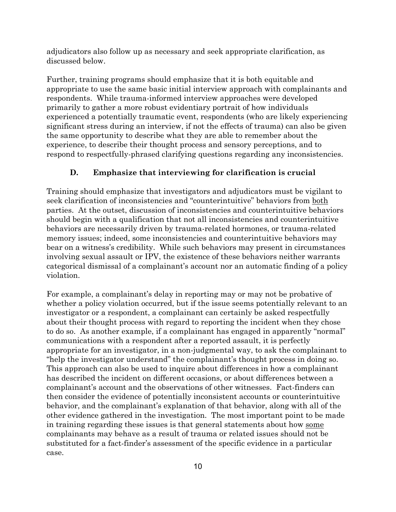adjudicators also follow up as necessary and seek appropriate clarification, as discussed below.

Further, training programs should emphasize that it is both equitable and appropriate to use the same basic initial interview approach with complainants and respondents. While trauma-informed interview approaches were developed primarily to gather a more robust evidentiary portrait of how individuals experienced a potentially traumatic event, respondents (who are likely experiencing significant stress during an interview, if not the effects of trauma) can also be given the same opportunity to describe what they are able to remember about the experience, to describe their thought process and sensory perceptions, and to respond to respectfully-phrased clarifying questions regarding any inconsistencies.

#### **D. Emphasize that interviewing for clarification is crucial**

Training should emphasize that investigators and adjudicators must be vigilant to seek clarification of inconsistencies and "counterintuitive" behaviors from both parties. At the outset, discussion of inconsistencies and counterintuitive behaviors should begin with a qualification that not all inconsistencies and counterintuitive behaviors are necessarily driven by trauma-related hormones, or trauma-related memory issues; indeed, some inconsistencies and counterintuitive behaviors may bear on a witness's credibility. While such behaviors may present in circumstances involving sexual assault or IPV, the existence of these behaviors neither warrants categorical dismissal of a complainant's account nor an automatic finding of a policy violation.

For example, a complainant's delay in reporting may or may not be probative of whether a policy violation occurred, but if the issue seems potentially relevant to an investigator or a respondent, a complainant can certainly be asked respectfully about their thought process with regard to reporting the incident when they chose to do so. As another example, if a complainant has engaged in apparently "normal" communications with a respondent after a reported assault, it is perfectly appropriate for an investigator, in a non-judgmental way, to ask the complainant to "help the investigator understand" the complainant's thought process in doing so. This approach can also be used to inquire about differences in how a complainant has described the incident on different occasions, or about differences between a complainant's account and the observations of other witnesses. Fact-finders can then consider the evidence of potentially inconsistent accounts or counterintuitive behavior, and the complainant's explanation of that behavior, along with all of the other evidence gathered in the investigation. The most important point to be made in training regarding these issues is that general statements about how some complainants may behave as a result of trauma or related issues should not be substituted for a fact-finder's assessment of the specific evidence in a particular case.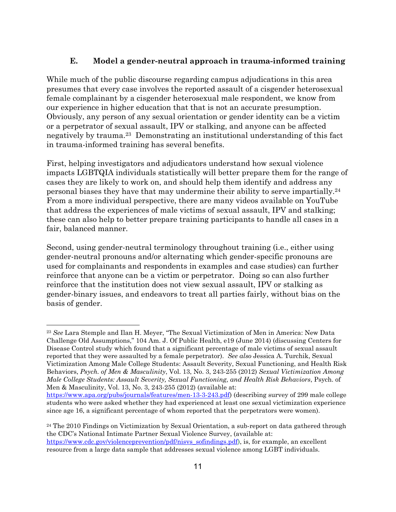#### **E. Model a gender-neutral approach in trauma-informed training**

While much of the public discourse regarding campus adjudications in this area presumes that every case involves the reported assault of a cisgender heterosexual female complainant by a cisgender heterosexual male respondent, we know from our experience in higher education that that is not an accurate presumption. Obviously, any person of any sexual orientation or gender identity can be a victim or a perpetrator of sexual assault, IPV or stalking, and anyone can be affected negatively by trauma.23 Demonstrating an institutional understanding of this fact in trauma-informed training has several benefits.

First, helping investigators and adjudicators understand how sexual violence impacts LGBTQIA individuals statistically will better prepare them for the range of cases they are likely to work on, and should help them identify and address any personal biases they have that may undermine their ability to serve impartially.24 From a more individual perspective, there are many videos available on YouTube that address the experiences of male victims of sexual assault, IPV and stalking; these can also help to better prepare training participants to handle all cases in a fair, balanced manner.

Second, using gender-neutral terminology throughout training (i.e., either using gender-neutral pronouns and/or alternating which gender-specific pronouns are used for complainants and respondents in examples and case studies) can further reinforce that anyone can be a victim or perpetrator. Doing so can also further reinforce that the institution does not view sexual assault, IPV or stalking as gender-binary issues, and endeavors to treat all parties fairly, without bias on the basis of gender.

1

<sup>23</sup> *See* Lara Stemple and Ilan H. Meyer, "The Sexual Victimization of Men in America: New Data Challenge Old Assumptions," 104 Am. J. Of Public Health, e19 (June 2014) (discussing Centers for Disease Control study which found that a significant percentage of male victims of sexual assault reported that they were assaulted by a female perpetrator). *See also* Jessica A. Turchik, Sexual Victimization Among Male College Students: Assault Severity, Sexual Functioning, and Health Risk Behaviors, *Psych. of Men & Masculinity*, Vol. 13, No. 3, 243-255 (2012) *Sexual Victimization Among Male College Students: Assault Severity, Sexual Functioning, and Health Risk Behaviors*, Psych. of Men & Masculinity, Vol. 13, No. 3, 243-255 (2012) (available at:

https://www.apa.org/pubs/journals/features/men-13-3-243.pdf) (describing survey of 299 male college students who were asked whether they had experienced at least one sexual victimization experience since age 16, a significant percentage of whom reported that the perpetrators were women).

<sup>&</sup>lt;sup>24</sup> The 2010 Findings on Victimization by Sexual Orientation, a sub-report on data gathered through the CDC's National Intimate Partner Sexual Violence Survey, (available at: https://www.cdc.gov/violenceprevention/pdf/nisvs sofindings.pdf), is, for example, an excellent

resource from a large data sample that addresses sexual violence among LGBT individuals.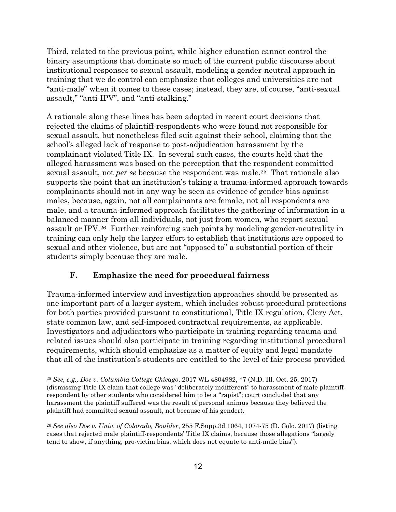Third, related to the previous point, while higher education cannot control the binary assumptions that dominate so much of the current public discourse about institutional responses to sexual assault, modeling a gender-neutral approach in training that we do control can emphasize that colleges and universities are not "anti-male" when it comes to these cases; instead, they are, of course, "anti-sexual assault," "anti-IPV", and "anti-stalking."

A rationale along these lines has been adopted in recent court decisions that rejected the claims of plaintiff-respondents who were found not responsible for sexual assault, but nonetheless filed suit against their school, claiming that the school's alleged lack of response to post-adjudication harassment by the complainant violated Title IX. In several such cases, the courts held that the alleged harassment was based on the perception that the respondent committed sexual assault, not *per se* because the respondent was male.25 That rationale also supports the point that an institution's taking a trauma-informed approach towards complainants should not in any way be seen as evidence of gender bias against males, because, again, not all complainants are female, not all respondents are male, and a trauma-informed approach facilitates the gathering of information in a balanced manner from all individuals, not just from women, who report sexual assault or IPV.26 Further reinforcing such points by modeling gender-neutrality in training can only help the larger effort to establish that institutions are opposed to sexual and other violence, but are not "opposed to" a substantial portion of their students simply because they are male.

#### **F. Emphasize the need for procedural fairness**

 $\overline{a}$ 

Trauma-informed interview and investigation approaches should be presented as one important part of a larger system, which includes robust procedural protections for both parties provided pursuant to constitutional, Title IX regulation, Clery Act, state common law, and self-imposed contractual requirements, as applicable. Investigators and adjudicators who participate in training regarding trauma and related issues should also participate in training regarding institutional procedural requirements, which should emphasize as a matter of equity and legal mandate that all of the institution's students are entitled to the level of fair process provided

<sup>25</sup> *See, e.g., Doe v. Columbia College Chicago*, 2017 WL 4804982, \*7 (N.D. Ill. Oct. 25, 2017) (dismissing Title IX claim that college was "deliberately indifferent" to harassment of male plaintiffrespondent by other students who considered him to be a "rapist"; court concluded that any harassment the plaintiff suffered was the result of personal animus because they believed the plaintiff had committed sexual assault, not because of his gender).

<sup>26</sup> *See also Doe v. Univ. of Colorado, Boulder*, 255 F.Supp.3d 1064, 1074-75 (D. Colo. 2017) (listing cases that rejected male plaintiff-respondents' Title IX claims, because those allegations "largely tend to show, if anything, pro-victim bias, which does not equate to anti-male bias").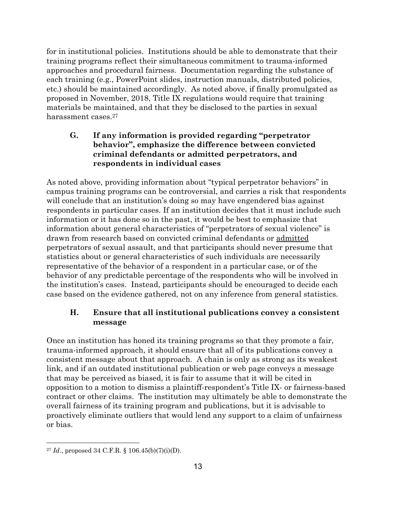for in institutional policies. Institutions should be able to demonstrate that their training programs reflect their simultaneous commitment to trauma-informed approaches and procedural fairness. Documentation regarding the substance of each training (e.g., PowerPoint slides, instruction manuals, distributed policies, etc.) should be maintained accordingly. As noted above, if finally promulgated as proposed in November, 2018, Title IX regulations would require that training materials be maintained, and that they be disclosed to the parties in sexual harassment cases.27

#### **G. If any information is provided regarding "perpetrator behavior", emphasize the difference between convicted criminal defendants or admitted perpetrators, and respondents in individual cases**

As noted above, providing information about "typical perpetrator behaviors" in campus training programs can be controversial, and carries a risk that respondents will conclude that an institution's doing so may have engendered bias against respondents in particular cases. If an institution decides that it must include such information or it has done so in the past, it would be best to emphasize that information about general characteristics of "perpetrators of sexual violence" is drawn from research based on convicted criminal defendants or admitted perpetrators of sexual assault, and that participants should never presume that statistics about or general characteristics of such individuals are necessarily representative of the behavior of a respondent in a particular case, or of the behavior of any predictable percentage of the respondents who will be involved in the institution's cases. Instead, participants should be encouraged to decide each case based on the evidence gathered, not on any inference from general statistics.

## **H. Ensure that all institutional publications convey a consistent message**

Once an institution has honed its training programs so that they promote a fair, trauma-informed approach, it should ensure that all of its publications convey a consistent message about that approach. A chain is only as strong as its weakest link, and if an outdated institutional publication or web page conveys a message that may be perceived as biased, it is fair to assume that it will be cited in opposition to a motion to dismiss a plaintiff-respondent's Title IX- or fairness-based contract or other claims. The institution may ultimately be able to demonstrate the overall fairness of its training program and publications, but it is advisable to proactively eliminate outliers that would lend any support to a claim of unfairness or bias.

1

<sup>27</sup> *Id*., proposed 34 C.F.R. § 106.45(b)(7)(i)(D).